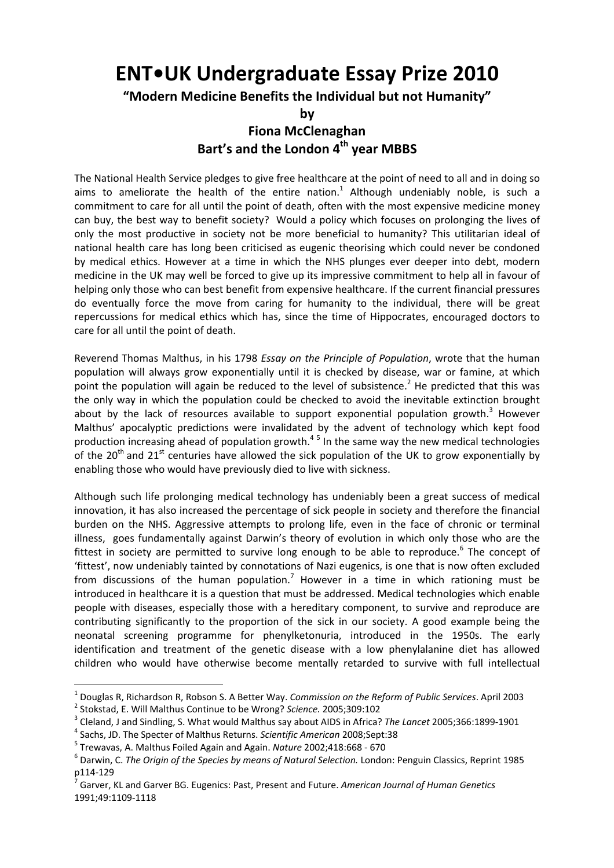## **ENT•UK Undergraduate Essay Prize 2010**

**"Modern Medicine Benefits the Individual but not Humanity"**

**by**

## **Fiona McClenaghan Bart's and the London 4th year MBBS**

The National Health Service pledges to give free healthcare at the point of need to all and in doing so aims to ameliorate the health of the entire nation.<sup>1</sup> Although undeniably noble, is such a commitment to care for all until the point of death, often with the most expensive medicine money can buy, the best way to benefit society? Would a policy which focuses on prolonging the lives of only the most productive in society not be more beneficial to humanity? This utilitarian ideal of national health care has long been criticised as eugenic theorising which could never be condoned by medical ethics. However at a time in which the NHS plunges ever deeper into debt, modern medicine in the UK may well be forced to give up its impressive commitment to help all in favour of helping only those who can best benefit from expensive healthcare. If the current financial pressures do eventually force the move from caring for humanity to the individual, there will be great repercussions for medical ethics which has, since the time of Hippocrates, encouraged doctors to care for all until the point of death.

Reverend Thomas Malthus, in his 1798 *Essay on the Principle of Population*, wrote that the human population will always grow exponentially until it is checked by disease, war or famine, at which point the population will again be reduced to the level of subsistence.<sup>2</sup> He predicted that this was the only way in which the population could be checked to avoid the inevitable extinction brought about by the lack of resources available to support exponential population growth.<sup>3</sup> However Malthus' apocalyptic predictions were invalidated by the advent of technology which kept food production increasing ahead of population growth. $4\frac{1}{2}$  In the same way the new medical technologies of the 20<sup>th</sup> and 21<sup>st</sup> centuries have allowed the sick population of the UK to grow exponentially by enabling those who would have previously died to live with sickness.

Although such life prolonging medical technology has undeniably been a great success of medical innovation, it has also increased the percentage of sick people in society and therefore the financial burden on the NHS. Aggressive attempts to prolong life, even in the face of chronic or terminal illness, goes fundamentally against Darwin's theory of evolution in which only those who are the fittest in society are permitted to survive long enough to be able to reproduce.<sup>6</sup> The concept of 'fittest', now undeniably tainted by connotations of Nazi eugenics, is one that is now often excluded from discussions of the human population.<sup>7</sup> However in a time in which rationing must be introduced in healthcare it is a question that must be addressed. Medical technologies which enable people with diseases, especially those with a hereditary component, to survive and reproduce are contributing significantly to the proportion of the sick in our society. A good example being the neonatal screening programme for phenylketonuria, introduced in the 1950s. The early identification and treatment of the genetic disease with a low phenylalanine diet has allowed children who would have otherwise become mentally retarded to survive with full intellectual

<sup>&</sup>lt;sup>1</sup> Douglas R, Richardson R, Robson S. A Better Way. Commission on the Reform of Public Services. April 2003<br>
<sup>2</sup> Stokstad, E. Will Malthus Continue to be Wrong? Science. 2005;309:102<br>
<sup>3</sup> Cleland, J and Sindling, S. What

p114‐<sup>129</sup> <sup>7</sup> Garver, KL and Garver BG. Eugenics: Past, Present and Future. *American Journal of Human Genetics* 1991;49:1109‐1118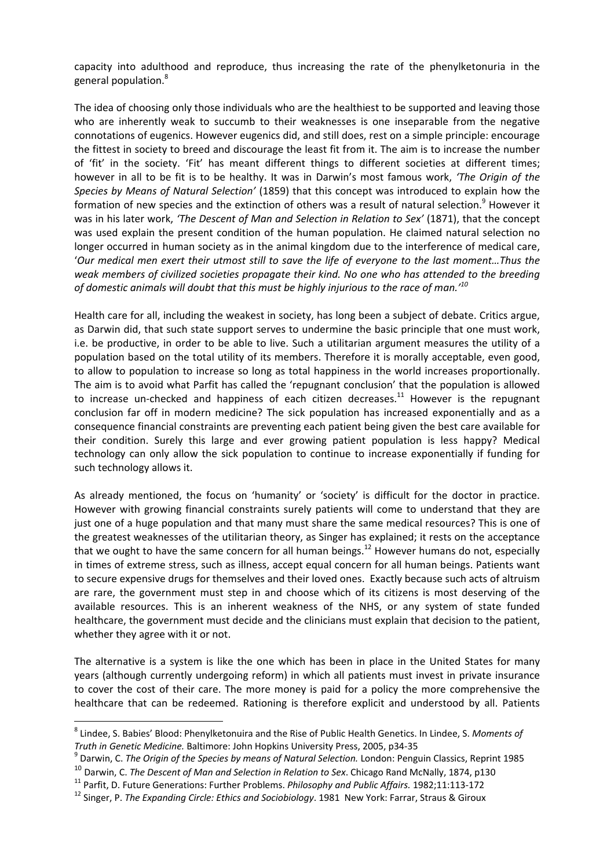capacity into adulthood and reproduce, thus increasing the rate of the phenylketonuria in the general population.<sup>8</sup>

The idea of choosing only those individuals who are the healthiest to be supported and leaving those who are inherently weak to succumb to their weaknesses is one inseparable from the negative connotations of eugenics. However eugenics did, and still does, rest on a simple principle: encourage the fittest in society to breed and discourage the least fit from it. The aim is to increase the number of 'fit' in the society. 'Fit' has meant different things to different societies at different times; however in all to be fit is to be healthy. It was in Darwin's most famous work, *'The Origin of the Species by Means of Natural Selection'* (1859) that this concept was introduced to explain how the formation of new species and the extinction of others was a result of natural selection.<sup>9</sup> However it was in his later work, *'The Descent of Man and Selection in Relation to Sex'* (1871), that the concept was used explain the present condition of the human population. He claimed natural selection no longer occurred in human society as in the animal kingdom due to the interference of medical care, '*Our medical men exert their utmost still to save the life of everyone to the last moment…Thus the weak members of civilized societies propagate their kind. No one who has attended to the breeding of domestic animals will doubt that this must be highly injurious to the race of man.'<sup>10</sup>*

Health care for all, including the weakest in society, has long been a subject of debate. Critics argue, as Darwin did, that such state support serves to undermine the basic principle that one must work, i.e. be productive, in order to be able to live. Such a utilitarian argument measures the utility of a population based on the total utility of its members. Therefore it is morally acceptable, even good, to allow to population to increase so long as total happiness in the world increases proportionally. The aim is to avoid what Parfit has called the 'repugnant conclusion' that the population is allowed to increase un-checked and happiness of each citizen decreases.<sup>11</sup> However is the repugnant conclusion far off in modern medicine? The sick population has increased exponentially and as a consequence financial constraints are preventing each patient being given the best care available for their condition. Surely this large and ever growing patient population is less happy? Medical technology can only allow the sick population to continue to increase exponentially if funding for such technology allows it.

As already mentioned, the focus on 'humanity' or 'society' is difficult for the doctor in practice. However with growing financial constraints surely patients will come to understand that they are just one of a huge population and that many must share the same medical resources? This is one of the greatest weaknesses of the utilitarian theory, as Singer has explained; it rests on the acceptance that we ought to have the same concern for all human beings.<sup>12</sup> However humans do not, especially in times of extreme stress, such as illness, accept equal concern for all human beings. Patients want to secure expensive drugs for themselves and their loved ones. Exactly because such acts of altruism are rare, the government must step in and choose which of its citizens is most deserving of the available resources. This is an inherent weakness of the NHS, or any system of state funded healthcare, the government must decide and the clinicians must explain that decision to the patient, whether they agree with it or not.

The alternative is a system is like the one which has been in place in the United States for many years (although currently undergoing reform) in which all patients must invest in private insurance to cover the cost of their care. The more money is paid for a policy the more comprehensive the healthcare that can be redeemed. Rationing is therefore explicit and understood by all. Patients

<sup>8</sup> Lindee, S. Babies' Blood: Phenylketonuira and the Rise of Public Health Genetics. In Lindee, S. *Moments of*

Truth in Genetic Medicine. Baltimore: John Hopkins University Press, 2005, p34-35<br><sup>9</sup> Darwin, C. The Origin of the Species by means of Natural Selection. London: Penguin Classics, Reprint 1985

<sup>10</sup> Darwin, C. *The Descent of Man and Selection in Relation to Sex*. Chicago Rand McNally, 1874, p130

<sup>&</sup>lt;sup>12</sup> Singer, P. The Expanding Circle: Ethics and Sociobiology. 1981 New York: Farrar, Straus & Giroux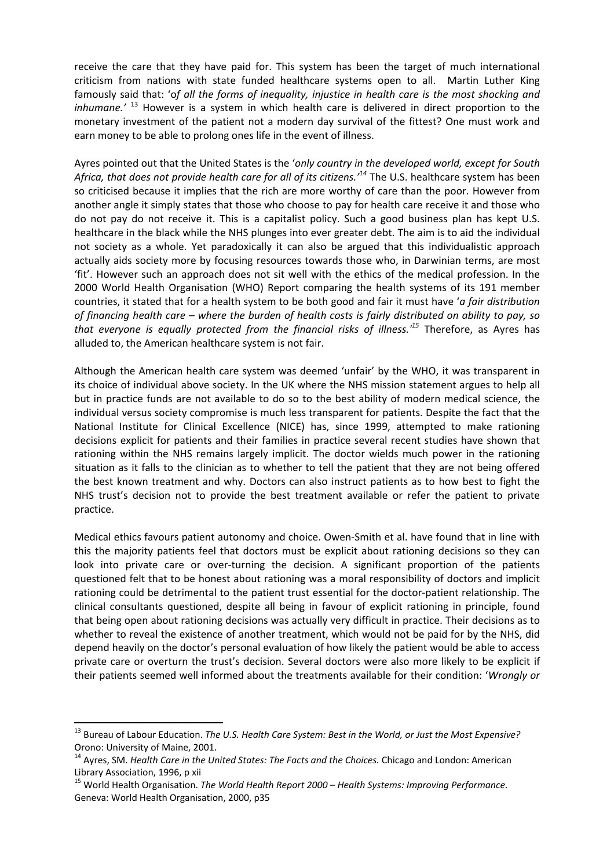receive the care that they have paid for. This system has been the target of much international criticism from nations with state funded healthcare systems open to all. Martin Luther King famously said that: 'o*f all the forms of inequality, injustice in health care is the most shocking and inhumane.'* <sup>13</sup> However is a system in which health care is delivered in direct proportion to the monetary investment of the patient not a modern day survival of the fittest? One must work and earn money to be able to prolong ones life in the event of illness.

Ayres pointed out that the United States is the '*only country in the developed world, except for South Africa, that does not provide health care for all of its citizens.'<sup>14</sup>* The U.S. healthcare system has been so criticised because it implies that the rich are more worthy of care than the poor. However from another angle it simply states that those who choose to pay for health care receive it and those who do not pay do not receive it. This is a capitalist policy. Such a good business plan has kept U.S. healthcare in the black while the NHS plunges into ever greater debt. The aim is to aid the individual not society as a whole. Yet paradoxically it can also be argued that this individualistic approach actually aids society more by focusing resources towards those who, in Darwinian terms, are most 'fit'. However such an approach does not sit well with the ethics of the medical profession. In the 2000 World Health Organisation (WHO) Report comparing the health systems of its 191 member countries, it stated that for a health system to be both good and fair it must have '*a fair distribution* of financing health care – where the burden of health costs is fairly distributed on ability to pay, so *that everyone is equally protected from the financial risks of illness.'15* Therefore, as Ayres has alluded to, the American healthcare system is not fair.

Although the American health care system was deemed 'unfair' by the WHO, it was transparent in its choice of individual above society. In the UK where the NHS mission statement argues to help all but in practice funds are not available to do so to the best ability of modern medical science, the individual versus society compromise is much less transparent for patients. Despite the fact that the National Institute for Clinical Excellence (NICE) has, since 1999, attempted to make rationing decisions explicit for patients and their families in practice several recent studies have shown that rationing within the NHS remains largely implicit. The doctor wields much power in the rationing situation as it falls to the clinician as to whether to tell the patient that they are not being offered the best known treatment and why. Doctors can also instruct patients as to how best to fight the NHS trust's decision not to provide the best treatment available or refer the patient to private practice.

Medical ethics favours patient autonomy and choice. Owen-Smith et al. have found that in line with this the majority patients feel that doctors must be explicit about rationing decisions so they can look into private care or over-turning the decision. A significant proportion of the patients questioned felt that to be honest about rationing was a moral responsibility of doctors and implicit rationing could be detrimental to the patient trust essential for the doctor‐patient relationship. The clinical consultants questioned, despite all being in favour of explicit rationing in principle, found that being open about rationing decisions was actually very difficult in practice. Their decisions as to whether to reveal the existence of another treatment, which would not be paid for by the NHS, did depend heavily on the doctor's personal evaluation of how likely the patient would be able to access private care or overturn the trust's decision. Several doctors were also more likely to be explicit if their patients seemed well informed about the treatments available for their condition: '*Wrongly or*

<sup>13</sup> Bureau of Labour Education. *The U.S. Health Care System: Best in the World, or Just the Most Expensive?* Orono: University of Maine, 2001. <sup>14</sup> Ayres, SM. *Health Care in the United States: The Facts and the Choices.* Chicago and London: American

Library Association, 1996, p xii<br><sup>15</sup> World Health Organisation. *The World Health Report 2000 – Health Systems: Improving Performance.* Geneva: World Health Organisation, 2000, p35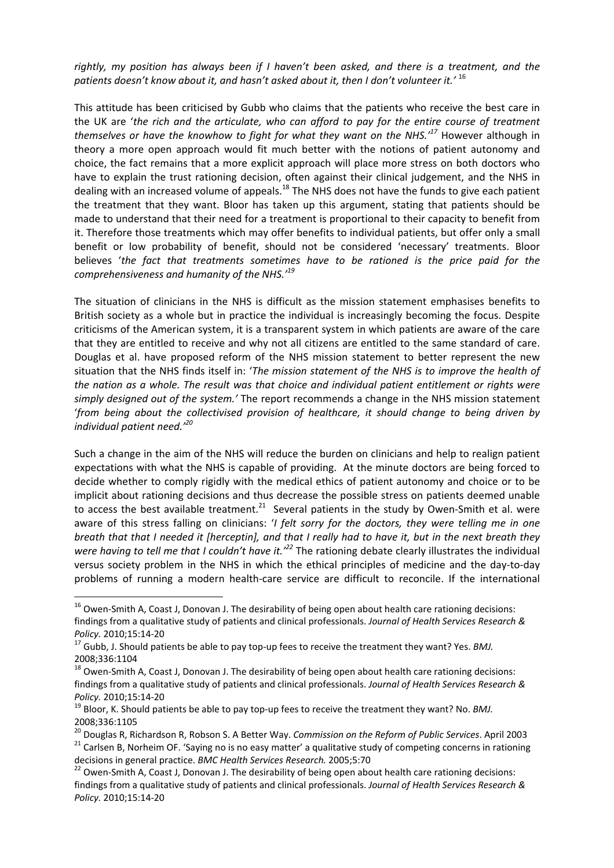*rightly, my position has always been if I haven't been asked, and there is a treatment, and the patients doesn't know about it, and hasn't asked about it, then I don't volunteer it.'* <sup>16</sup>

This attitude has been criticised by Gubb who claims that the patients who receive the best care in the UK are '*the rich and the articulate, who can afford to pay for the entire course of treatment themselves or have the knowhow to fight for what they want on the NHS.'<sup>17</sup>* However although in theory a more open approach would fit much better with the notions of patient autonomy and choice, the fact remains that a more explicit approach will place more stress on both doctors who have to explain the trust rationing decision, often against their clinical judgement, and the NHS in dealing with an increased volume of appeals.<sup>18</sup> The NHS does not have the funds to give each patient the treatment that they want. Bloor has taken up this argument, stating that patients should be made to understand that their need for a treatment is proportional to their capacity to benefit from it. Therefore those treatments which may offer benefits to individual patients, but offer only a small benefit or low probability of benefit, should not be considered 'necessary' treatments. Bloor believes '*the fact that treatments sometimes have to be rationed is the price paid for the comprehensiveness and humanity of the NHS.'<sup>19</sup>*

The situation of clinicians in the NHS is difficult as the mission statement emphasises benefits to British society as a whole but in practice the individual is increasingly becoming the focus. Despite criticisms of the American system, it is a transparent system in which patients are aware of the care that they are entitled to receive and why not all citizens are entitled to the same standard of care. Douglas et al. have proposed reform of the NHS mission statement to better represent the new situation that the NHS finds itself in: '*The mission statement of the NHS is to improve the health of the nation as a whole. The result was that choice and individual patient entitlement or rights were simply designed out of the system.'* The report recommends a change in the NHS mission statement '*from being about the collectivised provision of healthcare, it should change to being driven by individual patient need.'<sup>20</sup>*

Such a change in the aim of the NHS will reduce the burden on clinicians and help to realign patient expectations with what the NHS is capable of providing. At the minute doctors are being forced to decide whether to comply rigidly with the medical ethics of patient autonomy and choice or to be implicit about rationing decisions and thus decrease the possible stress on patients deemed unable to access the best available treatment.<sup>21</sup> Several patients in the study by Owen-Smith et al. were aware of this stress falling on clinicians: '*I felt sorry for the doctors, they were telling me in one* breath that that I needed it [herceptin], and that I really had to have it, but in the next breath they *were having to tell me that I couldn't have it.'<sup>22</sup>* The rationing debate clearly illustrates the individual versus society problem in the NHS in which the ethical principles of medicine and the day‐to‐day problems of running a modern health‐care service are difficult to reconcile. If the international

 $16$  Owen-Smith A, Coast J, Donovan J. The desirability of being open about health care rationing decisions: findings from a qualitative study of patients and clinical professionals. *Journal of Health Services Research & Policy.* 2010;15:14-20<br><sup>17</sup> Gubb, J. Should patients be able to pay top-up fees to receive the treatment they want? Yes. *BMJ.* 

<sup>2008;336:1104</sup>

<sup>&</sup>lt;sup>18</sup> Owen-Smith A, Coast J, Donovan J. The desirability of being open about health care rationing decisions: findings from a qualitative study of patients and clinical professionals. *Journal of Health Services Research & Policy.* 2010;15:14-20<br><sup>19</sup> Bloor, K. Should patients be able to pay top-up fees to receive the treatment they want? No. *BMJ.* 

<sup>2008;336:1105</sup>

<sup>&</sup>lt;sup>20</sup> Douglas R, Richardson R, Robson S. A Better Way. Commission on the Reform of Public Services. April 2003<br><sup>21</sup> Carlsen B, Norheim OF. 'Saying no is no easy matter' a qualitative study of competing concerns in rationin

decisions in general practice. *BMC Health Services Research.* 2005;5:70<br><sup>22</sup> Owen-Smith A, Coast J, Donovan J. The desirability of being open about health care rationing decisions: findings from a qualitative study of patients and clinical professionals. *Journal of Health Services Research & Policy.* 2010;15:14‐20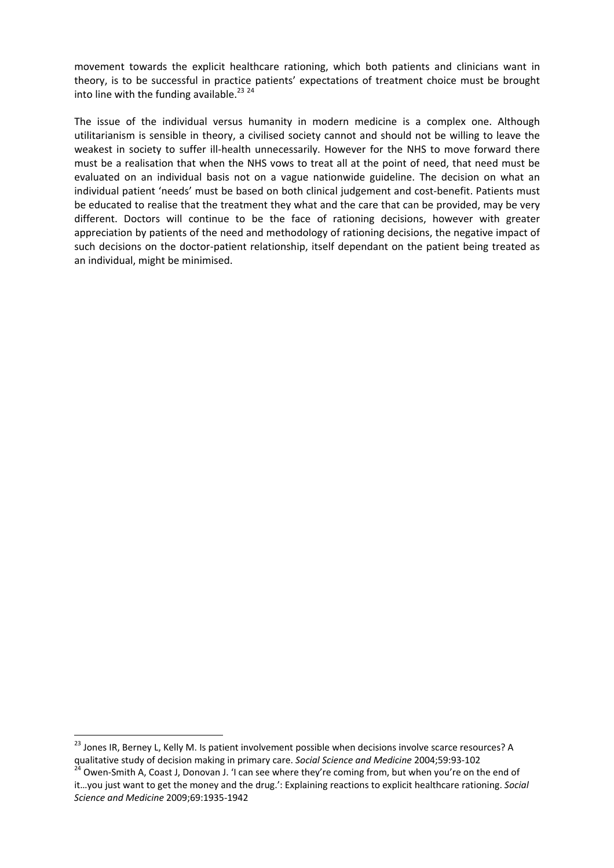movement towards the explicit healthcare rationing, which both patients and clinicians want in theory, is to be successful in practice patients' expectations of treatment choice must be brought into line with the funding available.<sup>23</sup>  $24$ 

The issue of the individual versus humanity in modern medicine is a complex one. Although utilitarianism is sensible in theory, a civilised society cannot and should not be willing to leave the weakest in society to suffer ill-health unnecessarily. However for the NHS to move forward there must be a realisation that when the NHS vows to treat all at the point of need, that need must be evaluated on an individual basis not on a vague nationwide guideline. The decision on what an individual patient 'needs' must be based on both clinical judgement and cost-benefit. Patients must be educated to realise that the treatment they what and the care that can be provided, may be very different. Doctors will continue to be the face of rationing decisions, however with greater appreciation by patients of the need and methodology of rationing decisions, the negative impact of such decisions on the doctor-patient relationship, itself dependant on the patient being treated as an individual, might be minimised.

<sup>&</sup>lt;sup>23</sup> Jones IR, Berney L, Kelly M. Is patient involvement possible when decisions involve scarce resources? A qualitative study of decision making in primary care. Social Science and Medicine 2004;59:93-102<br><sup>24</sup> Owen-Smith A, Coast J, Donovan J. 'I can see where they're coming from, but when you're on the end of

it…you just want to get the money and the drug.': Explaining reactions to explicit healthcare rationing. *Social Science and Medicine* 2009;69:1935‐1942